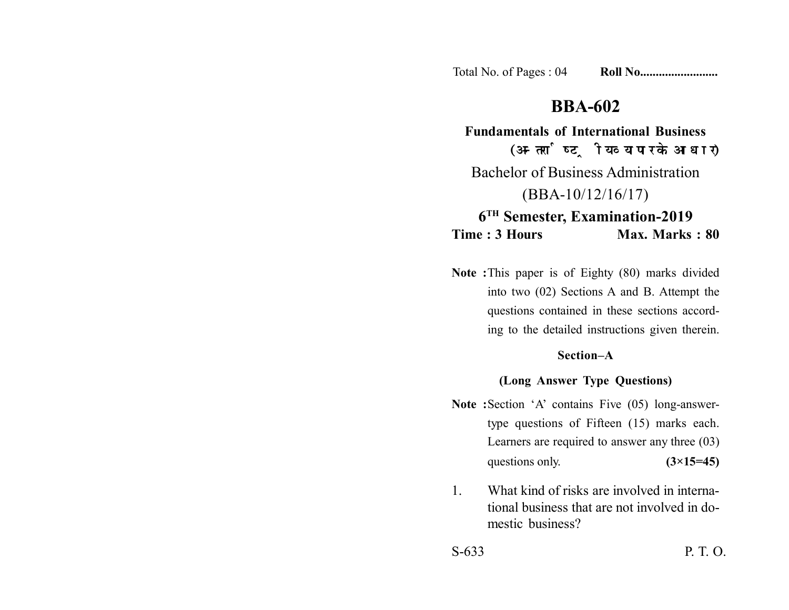Total No. of Pages : 04 **Roll No......................** 

# **BBA-602**

**Fundamentals of International Business** (अन्तर्राष्ट्रीय व्यापार के आधार) Bachelor of Business Administration (BBA-10/12/16/17) **6TH Semester, Examination-2019 Time : 3 Hours Max. Marks : 80** 

**Note :**This paper is of Eighty (80) marks divided into two (02) Sections A and B. Attempt the questions contained in these sections according to the detailed instructions given therein.

# **Section–A**

### **(Long Answer Type Questions)**

- Note :Section 'A' contains Five (05) long-answertype questions of Fifteen (15) marks each. Learners are required to answer any three (03) questions only. **(3×15=45)**
- 1. What kind of risks are involved in international business that are not involved in domestic business?

S-633 P. T. O.